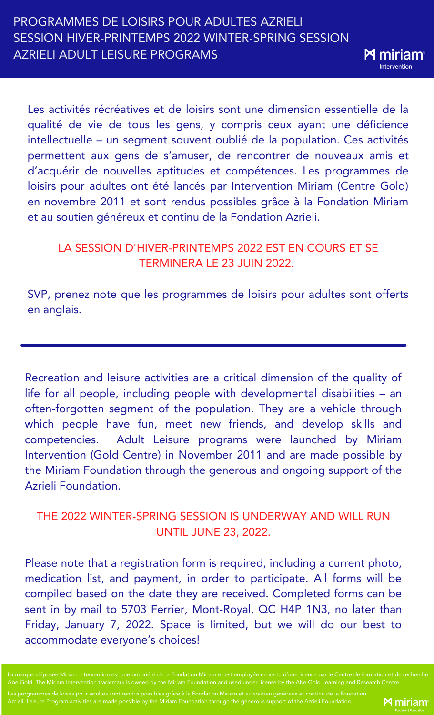Les activités récréatives et de loisirs sont une dimension essentielle de la qualité de vie de tous les gens, y compris ceux ayant une déficience intellectuelle – un segment souvent oublié de la population. Ces activités permettent aux gens de s'amuser, de rencontrer de nouveaux amis et

**M** miriar Interventior

d'acquérir de nouvelles aptitudes et compétences. Les programmes de loisirs pour adultes ont été lancés par Intervention Miriam (Centre Gold) en novembre 2011 et sont rendus possibles grâce à la Fondation Miriam et au soutien généreux et continu de la Fondation Azrieli.

# LA SESSION D'HIVER-PRINTEMPS 2022 EST EN COURS ET SE TERMINERA LE 23 JUIN 2022.

SVP, prenez note que les programmes de loisirs pour adultes sont offerts en anglais.

Recreation and leisure activities are a critical dimension of the quality of life for all people, including people with developmental disabilities – an often-forgotten segment of the population. They are a vehicle through which people have fun, meet new friends, and develop skills and competencies. Adult Leisure programs were launched by Miriam Intervention (Gold Centre) in November 2011 and are made possible by the Miriam Foundation through the generous and ongoing support of the Azrieli Foundation.

# THE 2022 WINTER-SPRING SESSION IS UNDERWAY AND WILL RUN UNTIL JUNE 23, 2022.

Please note that a registration form is required, including a current photo, medication list, and payment, in order to participate. All forms will be compiled based on the date they are received. Completed forms can be sent in by mail to 5703 Ferrier, Mont-Royal, QC H4P 1N3, no later than Friday, January 7, 2022. Space is limited, but we will do our best to accommodate everyone's choices!

entre de formation et de recherche Abe Gold. The Miriam Intervention trademark is owned by the Miriam Foundation and used under license by the Abe Gold Learning and Research Centre.

Les programmes de loisirs pour adultes sont rendus possibles grâce à la Fondation Miriam et au soutien généreux et continu de la Fondation Azrieli. Leisure Program activities are made possible by the Miriam Foundation through the generous support of the Azrieli Foundation.

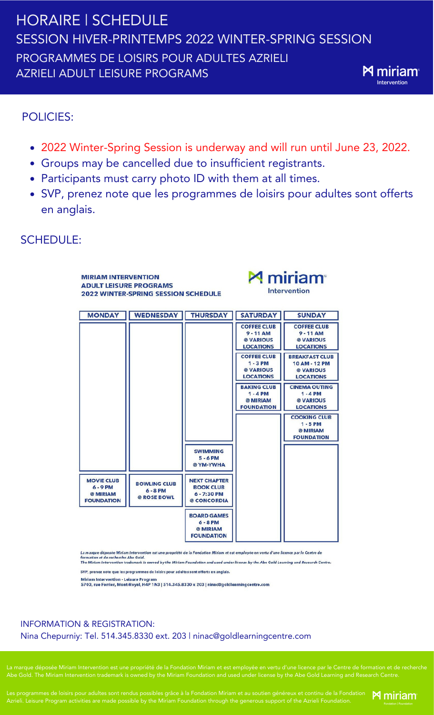# HORAIRE | SCHEDULE SESSION HIVER-PRINTEMPS 2022 WINTER-SPRING SESSION PROGRAMMES DE LOISIRS POUR ADULTES AZRIELI **M** miriam AZRIELI ADULT LEISURE PROGRAMS

# POLICIES:

- 2022 Winter-Spring Session is underway and will run until June 23, 2022.
- Groups may be cancelled due to insufficient registrants.
- Participants must carry photo ID with them at all times.
- SVP, prenez note que les programmes de loisirs pour adultes sont offerts en anglais.

# SCHEDULE:

| <b>MIRIAM INTERVENTION</b><br><b>ADULT LEISURE PROGRAMS</b><br><b>2022 WINTER-SPRING SESSION SCHEDULE</b> |                                                  |                                                                       | <b>M</b> miriam<br><b>Intervention</b>                             |                                                                         |
|-----------------------------------------------------------------------------------------------------------|--------------------------------------------------|-----------------------------------------------------------------------|--------------------------------------------------------------------|-------------------------------------------------------------------------|
| <b>MONDAY</b>                                                                                             | <b>WEDNESDAY</b>                                 | <b>THURSDAY</b>                                                       | <b>SATURDAY</b>                                                    | <b>SUNDAY</b>                                                           |
|                                                                                                           |                                                  |                                                                       | <b>COFFEE CLUB</b><br>$9 - 11$ AM<br>@ VARIOUS<br><b>LOCATIONS</b> | <b>COFFEE CLUB</b><br>$9 - 11$ AM<br>@ VARIOUS<br><b>LOCATIONS</b>      |
|                                                                                                           |                                                  |                                                                       | <b>COFFEE CLUB</b><br>$1 - 3$ PM<br>@ VARIOUS<br><b>LOCATIONS</b>  | <b>BREAKFAST CLUB</b><br>10 AM - 12 PM<br>@ VARIOUS<br><b>LOCATIONS</b> |
|                                                                                                           |                                                  |                                                                       | <b>BAKING CLUB</b><br>$1 - 4$ PM<br>@ MIRIAM<br><b>FOUNDATION</b>  | <b>CINEMA OUTING</b><br>$1 - 4$ PM<br>@ VARIOUS<br><b>LOCATIONS</b>     |
|                                                                                                           |                                                  |                                                                       |                                                                    | <b>COOKING CLUB</b><br>$1 - 5$ PM<br>@ MIRIAM<br><b>FOUNDATION</b>      |
|                                                                                                           |                                                  | <b>SWIMMING</b><br>$5 - 6$ PM<br>@ YM-YWHA                            |                                                                    |                                                                         |
| <b>MOVIE CLUB</b><br>$6 - 9$ PM<br>@ MIRIAM<br><b>FOUNDATION</b>                                          | <b>BOWLING CLUB</b><br>$6 - 8$ PM<br>@ ROSE BOWL | <b>NEXT CHAPTER</b><br><b>BOOK CLUB</b><br>6 - 7:30 PM<br>@ CONCORDIA |                                                                    |                                                                         |
|                                                                                                           |                                                  | <b>BOARD GAMES</b><br>$6 - 8$ PM<br>@ MIRIAM<br><b>FOUNDATION</b>     |                                                                    |                                                                         |

osée Miriam Intervention est une propriété de la Fondation Miriam et est employée en vertu d'une licence par le Centre de<br>Notes de la Catal

டக நகரடிக கலைவை நான்னால் கூறு முறைக்க கலைவரும் பிரிவியில் பிரிவியில் பிரிவியில் பிரிவியில் பிரிவியில் கலைவரும்<br>formation et de recherche Abe Gold.<br>The Miriam Intervention trademark is owned by the Miriam Foundation and

SVP, prenez note que les programmes de loisirs pour adultes sont offerts en anglais.

Miriam Intervention - Leisure Program<br>5703, rue Ferrier, Mont-Royal, H4P 1N3 | 514.345.8330 x 203 | ninac®goldlearningcentre.com

# INFORMATION & REGISTRATION: Nina Chepurniy: Tel. 514.345.8330 ext. 203 | ninac@goldlearningcentre.com

en vertu d'une licence par le Centre de formation et de recherche

Les programmes de loisirs pour adultes sont rendus possibles grâce à la Fondation Miriam et au soutien généreux et continu de la Fondation  $\blacksquare$  Miriam Azrieli. Leisure Program activities are made possible by the Miriam Foundation through the generous support of the Azrieli Foundation.



Intervention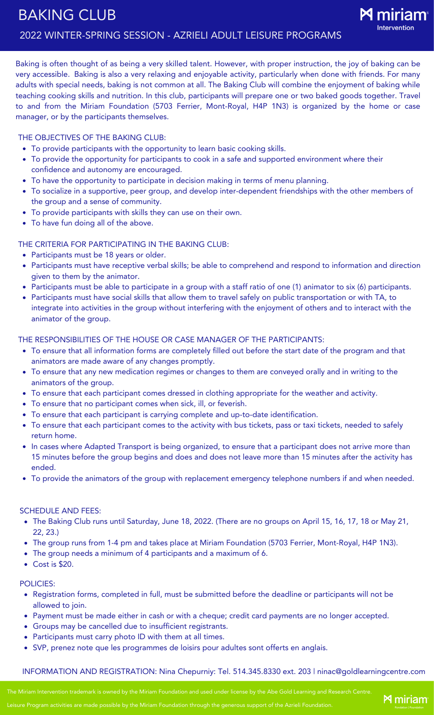

Baking is often thought of as being a very skilled talent. However, with proper instruction, the joy of baking can be very accessible. Baking is also a very relaxing and enjoyable activity, particularly when done with friends. For many adults with special needs, baking is not common at all. The Baking Club will combine the enjoyment of baking while teaching cooking skills and nutrition. In this club, participants will prepare one or two baked goods together. Travel to and from the Miriam Foundation (5703 Ferrier, Mont-Royal, H4P 1N3) is organized by the home or case manager, or by the participants themselves.

#### THE OBJECTIVES OF THE BAKING CLUB:

- To provide participants with the opportunity to learn basic cooking skills.
- To provide the opportunity for participants to cook in a safe and supported environment where their confidence and autonomy are encouraged.
- To have the opportunity to participate in decision making in terms of menu planning.
- To socialize in a supportive, peer group, and develop inter-dependent friendships with the other members of the group and a sense of community.
- To provide participants with skills they can use on their own.
- To have fun doing all of the above.

## THE CRITERIA FOR PARTICIPATING IN THE BAKING CLUB:

- Participants must be 18 years or older.
- Participants must have receptive verbal skills; be able to comprehend and respond to information and direction given to them by the animator.
- Participants must be able to participate in a group with a staff ratio of one (1) animator to six (6) participants.
- Participants must have social skills that allow them to travel safely on public transportation or with TA, to integrate into activities in the group without interfering with the enjoyment of others and to interact with the animator of the group.

#### THE RESPONSIBILITIES OF THE HOUSE OR CASE MANAGER OF THE PARTICIPANTS:

- To ensure that all information forms are completely filled out before the start date of the program and that animators are made aware of any changes promptly.
- To ensure that any new medication regimes or changes to them are conveyed orally and in writing to the animators of the group.
- To ensure that each participant comes dressed in clothing appropriate for the weather and activity.
- To ensure that no participant comes when sick, ill, or feverish.
- To ensure that each participant is carrying complete and up-to-date identification.
- To ensure that each participant comes to the activity with bus tickets, pass or taxi tickets, needed to safely return home.
- In cases where Adapted Transport is being organized, to ensure that a participant does not arrive more than 15 minutes before the group begins and does and does not leave more than 15 minutes after the activity has ended.
- To provide the animators of the group with replacement emergency telephone numbers if and when needed.

#### SCHEDULE AND FEES:

- The Baking Club runs until Saturday, June 18, 2022. (There are no groups on April 15, 16, 17, 18 or May 21, 22, 23.)
- The group runs from 1-4 pm and takes place at Miriam Foundation (5703 Ferrier, Mont-Royal, H4P 1N3).
- The group needs a minimum of 4 participants and a maximum of 6.
- Cost is \$20.

#### POLICIES:

- Registration forms, completed in full, must be submitted before the deadline or participants will not be allowed to join.
- Payment must be made either in cash or with a cheque; credit card payments are no longer accepted.
- Groups may be cancelled due to insufficient registrants.
- Participants must carry photo ID with them at all times.
- SVP, prenez note que les programmes de loisirs pour adultes sont offerts en anglais.

## INFORMATION AND REGISTRATION: Nina Chepurniy: Tel. 514.345.8330 ext. 203 | ninac@goldlearningcentre.com

The Miriam Intervention trademark is owned by the Miriam Foundation and used under license by the Abe Gold Learning and Research Centre.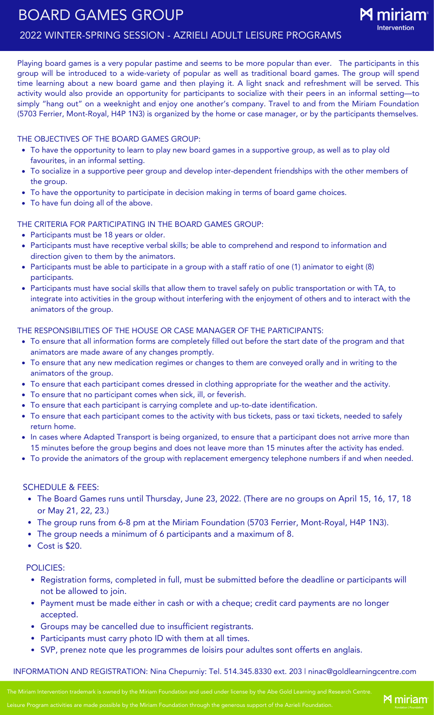# BOARD GAMES GROUP 2022 WINTER-SPRING SESSION - AZRIELI ADULT LEISURE PROGRAMS



Playing board games is a very popular pastime and seems to be more popular than ever. The participants in this group will be introduced to a wide-variety of popular as well as traditional board games. The group will spend time learning about a new board game and then playing it. A light snack and refreshment will be served. This activity would also provide an opportunity for participants to socialize with their peers in an informal setting—to simply "hang out" on a weeknight and enjoy one another's company. Travel to and from the Miriam Foundation (5703 Ferrier, Mont-Royal, H4P 1N3) is organized by the home or case manager, or by the participants themselves.

## THE OBJECTIVES OF THE BOARD GAMES GROUP:

- To have the opportunity to learn to play new board games in a supportive group, as well as to play old favourites, in an informal setting.
- To socialize in a supportive peer group and develop inter-dependent friendships with the other members of the group.
- To have the opportunity to participate in decision making in terms of board game choices.
- To have fun doing all of the above.

## THE CRITERIA FOR PARTICIPATING IN THE BOARD GAMES GROUP:

- Participants must be 18 years or older.
- Participants must have receptive verbal skills; be able to comprehend and respond to information and direction given to them by the animators.
- Participants must be able to participate in a group with a staff ratio of one (1) animator to eight (8) participants.
- Participants must have social skills that allow them to travel safely on public transportation or with TA, to integrate into activities in the group without interfering with the enjoyment of others and to interact with the animators of the group.

## THE RESPONSIBILITIES OF THE HOUSE OR CASE MANAGER OF THE PARTICIPANTS:

- To ensure that all information forms are completely filled out before the start date of the program and that animators are made aware of any changes promptly.
- To ensure that any new medication regimes or changes to them are conveyed orally and in writing to the animators of the group.
- To ensure that each participant comes dressed in clothing appropriate for the weather and the activity.
- To ensure that no participant comes when sick, ill, or feverish.
- To ensure that each participant is carrying complete and up-to-date identification.
- To ensure that each participant comes to the activity with bus tickets, pass or taxi tickets, needed to safely return home.
- In cases where Adapted Transport is being organized, to ensure that a participant does not arrive more than 15 minutes before the group begins and does not leave more than 15 minutes after the activity has ended.
- To provide the animators of the group with replacement emergency telephone numbers if and when needed.

## SCHEDULE & FEES:

- The Board Games runs until Thursday, June 23, 2022. (There are no groups on April 15, 16, 17, 18 or May 21, 22, 23.)
- The group runs from 6-8 pm at the Miriam Foundation (5703 Ferrier, Mont-Royal, H4P 1N3).
- The group needs a minimum of 6 participants and a maximum of 8.
- Cost is \$20.

## POLICIES:

- Registration forms, completed in full, must be submitted before the deadline or participants will not be allowed to join.
- Payment must be made either in cash or with a cheque; credit card payments are no longer accepted.
- Groups may be cancelled due to insufficient registrants.
- Participants must carry photo ID with them at all times.
- SVP, prenez note que les programmes de loisirs pour adultes sont offerts en anglais.

## INFORMATION AND REGISTRATION: Nina Chepurniy: Tel. 514.345.8330 ext. 203 | ninac@goldlearningcentre.com

The Miriam Intervention trademark is owned by the Miriam Foundation and used under license by the Abe Gold Learning and Research Centre.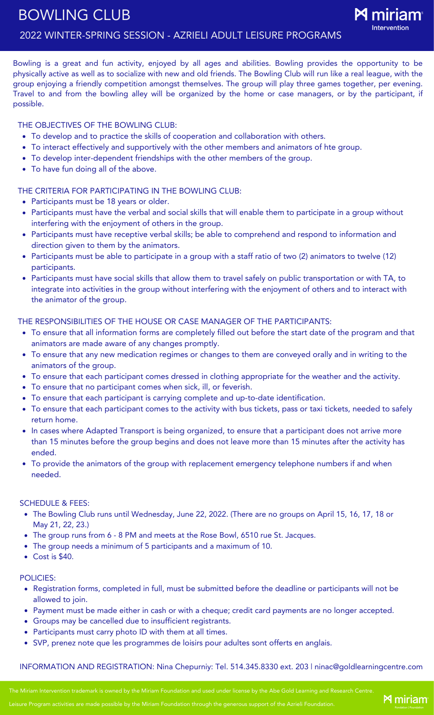# BOWLING CLUB 2022 WINTER-SPRING SESSION - AZRIELI ADULT LEISURE PROGRAMS



Bowling is a great and fun activity, enjoyed by all ages and abilities. Bowling provides the opportunity to be physically active as well as to socialize with new and old friends. The Bowling Club will run like a real league, with the group enjoying a friendly competition amongst themselves. The group will play three games together, per evening. Travel to and from the bowling alley will be organized by the home or case managers, or by the participant, if possible.

## THE OBJECTIVES OF THE BOWLING CLUB:

- To develop and to practice the skills of cooperation and collaboration with others.
- To interact effectively and supportively with the other members and animators of hte group.
- To develop inter-dependent friendships with the other members of the group.
- To have fun doing all of the above.

# THE CRITERIA FOR PARTICIPATING IN THE BOWLING CLUB:

- Participants must be 18 years or older.
- Participants must have the verbal and social skills that will enable them to participate in a group without interfering with the enjoyment of others in the group.
- Participants must have receptive verbal skills; be able to comprehend and respond to information and direction given to them by the animators.
- Participants must be able to participate in a group with a staff ratio of two (2) animators to twelve (12) participants.
- Participants must have social skills that allow them to travel safely on public transportation or with TA, to integrate into activities in the group without interfering with the enjoyment of others and to interact with the animator of the group.

## THE RESPONSIBILITIES OF THE HOUSE OR CASE MANAGER OF THE PARTICIPANTS:

- To ensure that all information forms are completely filled out before the start date of the program and that animators are made aware of any changes promptly.
- To ensure that any new medication regimes or changes to them are conveyed orally and in writing to the animators of the group.
- To ensure that each participant comes dressed in clothing appropriate for the weather and the activity.
- To ensure that no participant comes when sick, ill, or feverish.
- To ensure that each participant is carrying complete and up-to-date identification.
- To ensure that each participant comes to the activity with bus tickets, pass or taxi tickets, needed to safely return home.
- In cases where Adapted Transport is being organized, to ensure that a participant does not arrive more than 15 minutes before the group begins and does not leave more than 15 minutes after the activity has ended.
- To provide the animators of the group with replacement emergency telephone numbers if and when needed.

## SCHEDULE & FEES:

- The Bowling Club runs until Wednesday, June 22, 2022. (There are no groups on April 15, 16, 17, 18 or May 21, 22, 23.)
- The group runs from 6 8 PM and meets at the Rose Bowl, 6510 rue St. Jacques.
- The group needs a minimum of 5 participants and a maximum of 10.
- Cost is \$40.

# POLICIES:

- Registration forms, completed in full, must be submitted before the deadline or participants will not be allowed to join.
- Payment must be made either in cash or with a cheque; credit card payments are no longer accepted.
- Groups may be cancelled due to insufficient registrants.
- Participants must carry photo ID with them at all times.
- SVP, prenez note que les programmes de loisirs pour adultes sont offerts en anglais.

INFORMATION AND REGISTRATION: Nina Chepurniy: Tel. 514.345.8330 ext. 203 | ninac@goldlearningcentre.com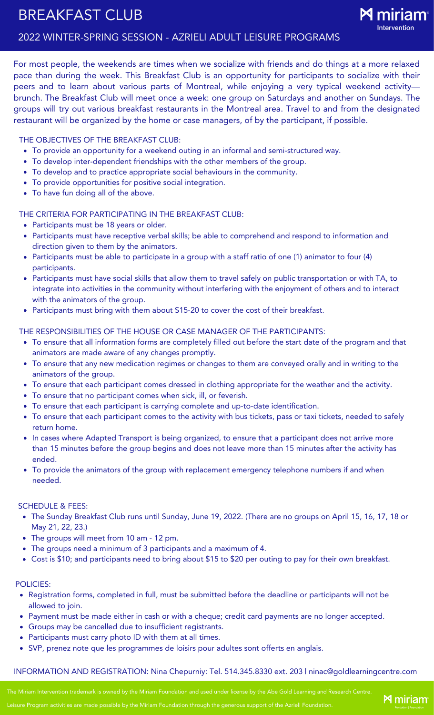# BREAKFAST CLUB



**M** miriam<sup>®</sup>

For most people, the weekends are times when we socialize with friends and do things at a more relaxed pace than during the week. This Breakfast Club is an opportunity for participants to socialize with their peers and to learn about various parts of Montreal, while enjoying a very typical weekend activity brunch. The Breakfast Club will meet once a week: one group on Saturdays and another on Sundays. The groups will try out various breakfast restaurants in the Montreal area. Travel to and from the designated restaurant will be organized by the home or case managers, of by the participant, if possible.

THE OBJECTIVES OF THE BREAKFAST CLUB:

- To provide an opportunity for a weekend outing in an informal and semi-structured way.
- To develop inter-dependent friendships with the other members of the group.
- To develop and to practice appropriate social behaviours in the community.
- To provide opportunities for positive social integration.
- To have fun doing all of the above.

THE CRITERIA FOR PARTICIPATING IN THE BREAKFAST CLUB:

- Participants must be 18 years or older.
- Participants must have receptive verbal skills; be able to comprehend and respond to information and direction given to them by the animators.
- Participants must be able to participate in a group with a staff ratio of one (1) animator to four (4) participants.
- Participants must have social skills that allow them to travel safely on public transportation or with TA, to integrate into activities in the community without interfering with the enjoyment of others and to interact with the animators of the group.
- Participants must bring with them about \$15-20 to cover the cost of their breakfast.

THE RESPONSIBILITIES OF THE HOUSE OR CASE MANAGER OF THE PARTICIPANTS:

- To ensure that all information forms are completely filled out before the start date of the program and that animators are made aware of any changes promptly.
- To ensure that any new medication regimes or changes to them are conveyed orally and in writing to the animators of the group.
- To ensure that each participant comes dressed in clothing appropriate for the weather and the activity.
- To ensure that no participant comes when sick, ill, or feverish.
- To ensure that each participant is carrying complete and up-to-date identification.
- To ensure that each participant comes to the activity with bus tickets, pass or taxi tickets, needed to safely return home.
- In cases where Adapted Transport is being organized, to ensure that a participant does not arrive more than 15 minutes before the group begins and does not leave more than 15 minutes after the activity has ended.
- To provide the animators of the group with replacement emergency telephone numbers if and when needed.

## SCHEDULE & FEES:

- The Sunday Breakfast Club runs until Sunday, June 19, 2022. (There are no groups on April 15, 16, 17, 18 or May 21, 22, 23.)
- The groups will meet from 10 am 12 pm.
- The groups need a minimum of 3 participants and a maximum of 4.
- Cost is \$10; and participants need to bring about \$15 to \$20 per outing to pay for their own breakfast.

## POLICIES:

- Registration forms, completed in full, must be submitted before the deadline or participants will not be allowed to join.
- Payment must be made either in cash or with a cheque; credit card payments are no longer accepted.
- Groups may be cancelled due to insufficient registrants.
- Participants must carry photo ID with them at all times.
- SVP, prenez note que les programmes de loisirs pour adultes sont offerts en anglais.

## INFORMATION AND REGISTRATION: Nina Chepurniy: Tel. 514.345.8330 ext. 203 | ninac@goldlearningcentre.com

The Miriam Intervention trademark is owned by the Miriam Foundation and used under license by the Abe Gold Learning and Research Centre.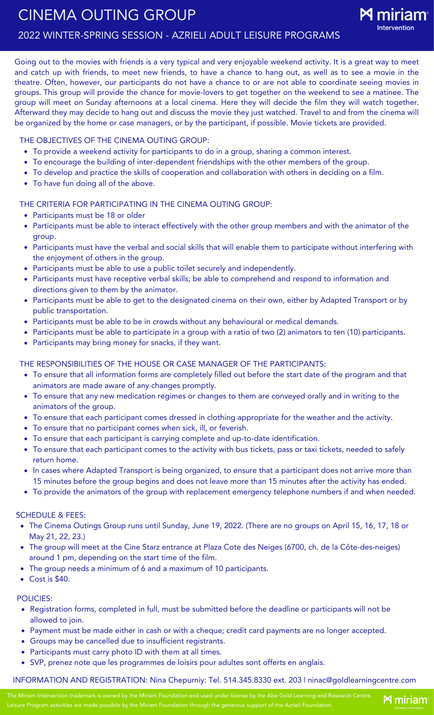Going out to the movies with friends is a very typical and very enjoyable weekend activity. It is a great way to meet and catch up with friends, to meet new friends, to have a chance to hang out, as well as to see a movie in the theatre. Often, however, our participants do not have a chance to or are not able to coordinate seeing movies in groups. This group will provide the chance for movie-lovers to get together on the weekend to see a matinee. The group will meet on Sunday afternoons at a local cinema. Here they will decide the film they will watch together. Afterward they may decide to hang out and discuss the movie they just watched. Travel to and from the cinema will be organized by the home or case managers, or by the participant, if possible. Movie tickets are provided.

THE OBJECTIVES OF THE CINEMA OUTING GROUP:

- To provide a weekend activity for participants to do in a group, sharing a common interest.
- To encourage the building of inter-dependent friendships with the other members of the group.
- To develop and practice the skills of cooperation and collaboration with others in deciding on a film.
- To have fun doing all of the above.

THE CRITERIA FOR PARTICIPATING IN THE CINEMA OUTING GROUP:

- Participants must be 18 or older
- Participants must be able to interact effectively with the other group members and with the animator of the group.
- Participants must have the verbal and social skills that will enable them to participate without interfering with the enjoyment of others in the group.
- Participants must be able to use a public toilet securely and independently.
- Participants must have receptive verbal skills; be able to comprehend and respond to information and directions given to them by the animator.
- Participants must be able to get to the designated cinema on their own, either by Adapted Transport or by public transportation.
- Participants must be able to be in crowds without any behavioural or medical demands.
- Participants must be able to participate in a group with a ratio of two (2) animators to ten (10) participants.
- Participants may bring money for snacks, if they want.

THE RESPONSIBILITIES OF THE HOUSE OR CASE MANAGER OF THE PARTICIPANTS:

- To ensure that all information forms are completely filled out before the start date of the program and that animators are made aware of any changes promptly.
- To ensure that any new medication regimes or changes to them are conveyed orally and in writing to the animators of the group.
- To ensure that each participant comes dressed in clothing appropriate for the weather and the activity.
- To ensure that no participant comes when sick, ill, or feverish.
- To ensure that each participant is carrying complete and up-to-date identification.
- To ensure that each participant comes to the activity with bus tickets, pass or taxi tickets, needed to safely return home.
- In cases where Adapted Transport is being organized, to ensure that a participant does not arrive more than 15 minutes before the group begins and does not leave more than 15 minutes after the activity has ended.
- To provide the animators of the group with replacement emergency telephone numbers if and when needed.

SCHEDULE & FEES:

- The Cinema Outings Group runs until Sunday, June 19, 2022. (There are no groups on April 15, 16, 17, 18 or May 21, 22, 23.)
- The group will meet at the Cine Starz entrance at Plaza Cote des Neiges (6700, ch. de la Côte-des-neiges) around 1 pm, depending on the start time of the film.
- The group needs a minimum of 6 and a maximum of 10 participants.
- Cost is \$40.

POLICIES:

- Registration forms, completed in full, must be submitted before the deadline or participants will not be allowed to join.
- Payment must be made either in cash or with a cheque; credit card payments are no longer accepted.
- Groups may be cancelled due to insufficient registrants.
- Participants must carry photo ID with them at all times.
- SVP, prenez note que les programmes de loisirs pour adultes sont offerts en anglais.

INFORMATION AND REGISTRATION: Nina Chepurniy: Tel. 514.345.8330 ext. 203 | ninac@goldlearningcentre.com

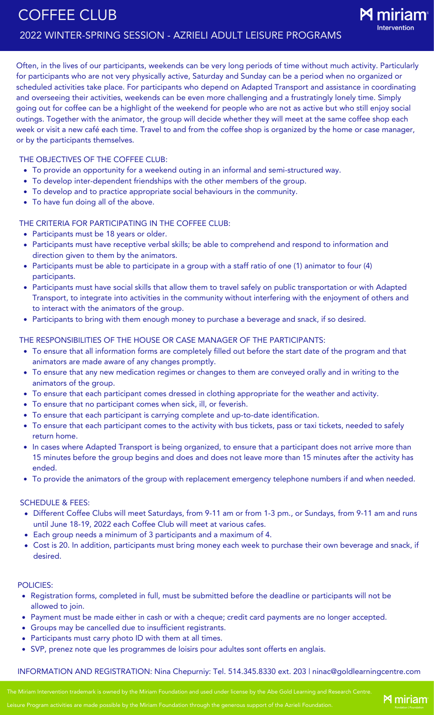Often, in the lives of our participants, weekends can be very long periods of time without much activity. Particularly for participants who are not very physically active, Saturday and Sunday can be a period when no organized or scheduled activities take place. For participants who depend on Adapted Transport and assistance in coordinating and overseeing their activities, weekends can be even more challenging and a frustratingly lonely time. Simply going out for coffee can be a highlight of the weekend for people who are not as active but who still enjoy social outings. Together with the animator, the group will decide whether they will meet at the same coffee shop each week or visit a new café each time. Travel to and from the coffee shop is organized by the home or case manager, or by the participants themselves.

THE OBJECTIVES OF THE COFFEE CLUB:

- To provide an opportunity for a weekend outing in an informal and semi-structured way.
- To develop inter-dependent friendships with the other members of the group.
- To develop and to practice appropriate social behaviours in the community.
- To have fun doing all of the above.

THE CRITERIA FOR PARTICIPATING IN THE COFFEE CLUB:

- Participants must be 18 years or older.
- Participants must have receptive verbal skills; be able to comprehend and respond to information and direction given to them by the animators.
- Participants must be able to participate in a group with a staff ratio of one (1) animator to four (4) participants.
- Participants must have social skills that allow them to travel safely on public transportation or with Adapted Transport, to integrate into activities in the community without interfering with the enjoyment of others and to interact with the animators of the group.
- Participants to bring with them enough money to purchase a beverage and snack, if so desired.

#### THE RESPONSIBILITIES OF THE HOUSE OR CASE MANAGER OF THE PARTICIPANTS:

- To ensure that all information forms are completely filled out before the start date of the program and that animators are made aware of any changes promptly.
- To ensure that any new medication regimes or changes to them are conveyed orally and in writing to the animators of the group.
- To ensure that each participant comes dressed in clothing appropriate for the weather and activity.
- To ensure that no participant comes when sick, ill, or feverish.
- To ensure that each participant is carrying complete and up-to-date identification.
- To ensure that each participant comes to the activity with bus tickets, pass or taxi tickets, needed to safely return home.
- In cases where Adapted Transport is being organized, to ensure that a participant does not arrive more than 15 minutes before the group begins and does and does not leave more than 15 minutes after the activity has ended.
- To provide the animators of the group with replacement emergency telephone numbers if and when needed.

#### SCHEDULE & FEES:

- Different Coffee Clubs will meet Saturdays, from 9-11 am or from 1-3 pm., or Sundays, from 9-11 am and runs until June 18-19, 2022 each Coffee Club will meet at various cafes.
- Each group needs a minimum of 3 participants and a maximum of 4.
- Cost is 20. In addition, participants must bring money each week to purchase their own beverage and snack, if desired.

#### POLICIES:

- Registration forms, completed in full, must be submitted before the deadline or participants will not be allowed to join.
- Payment must be made either in cash or with a cheque; credit card payments are no longer accepted.
- Groups may be cancelled due to insufficient registrants.
- Participants must carry photo ID with them at all times.
- SVP, prenez note que les programmes de loisirs pour adultes sont offerts en anglais.

## INFORMATION AND REGISTRATION: Nina Chepurniy: Tel. 514.345.8330 ext. 203 | ninac@goldlearningcentre.com

The Miriam Intervention trademark is owned by the Miriam Foundation and used under license by the Abe Gold Learning and Research Centre.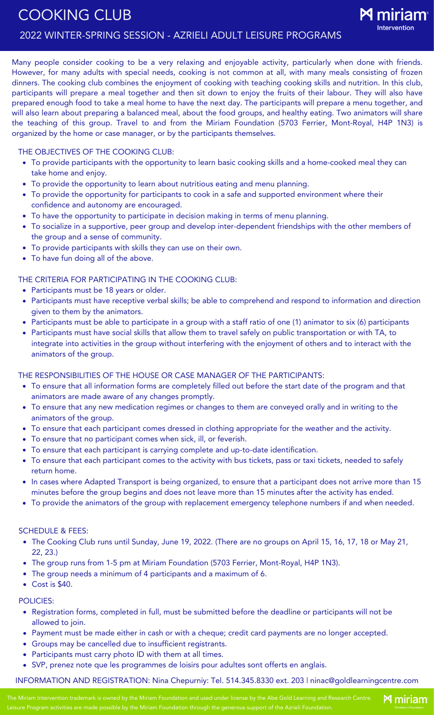**M** miriam

Many people consider cooking to be a very relaxing and enjoyable activity, particularly when done with friends. However, for many adults with special needs, cooking is not common at all, with many meals consisting of frozen dinners. The cooking club combines the enjoyment of cooking with teaching cooking skills and nutrition. In this club, participants will prepare a meal together and then sit down to enjoy the fruits of their labour. They will also have prepared enough food to take a meal home to have the next day. The participants will prepare a menu together, and will also learn about preparing a balanced meal, about the food groups, and healthy eating. Two animators will share the teaching of this group. Travel to and from the Miriam Foundation (5703 Ferrier, Mont-Royal, H4P 1N3) is organized by the home or case manager, or by the participants themselves.

## THE OBJECTIVES OF THE COOKING CLUB:

- To provide participants with the opportunity to learn basic cooking skills and a home-cooked meal they can take home and enjoy.
- To provide the opportunity to learn about nutritious eating and menu planning.
- To provide the opportunity for participants to cook in a safe and supported environment where their confidence and autonomy are encouraged.
- To have the opportunity to participate in decision making in terms of menu planning.
- To socialize in a supportive, peer group and develop inter-dependent friendships with the other members of the group and a sense of community.
- To provide participants with skills they can use on their own.
- To have fun doing all of the above.

## THE CRITERIA FOR PARTICIPATING IN THE COOKING CLUB:

- Participants must be 18 years or older.
- Participants must have receptive verbal skills; be able to comprehend and respond to information and direction given to them by the animators.
- Participants must be able to participate in a group with a staff ratio of one (1) animator to six (6) participants
- Participants must have social skills that allow them to travel safely on public transportation or with TA, to integrate into activities in the group without interfering with the enjoyment of others and to interact with the animators of the group.

## THE RESPONSIBILITIES OF THE HOUSE OR CASE MANAGER OF THE PARTICIPANTS:

- To ensure that all information forms are completely filled out before the start date of the program and that animators are made aware of any changes promptly.
- To ensure that any new medication regimes or changes to them are conveyed orally and in writing to the animators of the group.
- To ensure that each participant comes dressed in clothing appropriate for the weather and the activity.
- To ensure that no participant comes when sick, ill, or feverish.
- To ensure that each participant is carrying complete and up-to-date identification.
- To ensure that each participant comes to the activity with bus tickets, pass or taxi tickets, needed to safely return home.
- In cases where Adapted Transport is being organized, to ensure that a participant does not arrive more than 15 minutes before the group begins and does not leave more than 15 minutes after the activity has ended.
- To provide the animators of the group with replacement emergency telephone numbers if and when needed.

## SCHEDULE & FEES:

- The Cooking Club runs until Sunday, June 19, 2022. (There are no groups on April 15, 16, 17, 18 or May 21, 22, 23.)
- The group runs from 1-5 pm at Miriam Foundation (5703 Ferrier, Mont-Royal, H4P 1N3).
- The group needs a minimum of 4 participants and a maximum of 6.
- Cost is \$40.

## POLICIES:

- Registration forms, completed in full, must be submitted before the deadline or participants will not be allowed to join.
- Payment must be made either in cash or with a cheque; credit card payments are no longer accepted.
- Groups may be cancelled due to insufficient registrants.
- Participants must carry photo ID with them at all times.
- SVP, prenez note que les programmes de loisirs pour adultes sont offerts en anglais.

INFORMATION AND REGISTRATION: Nina Chepurniy: Tel. 514.345.8330 ext. 203 | ninac@goldlearningcentre.com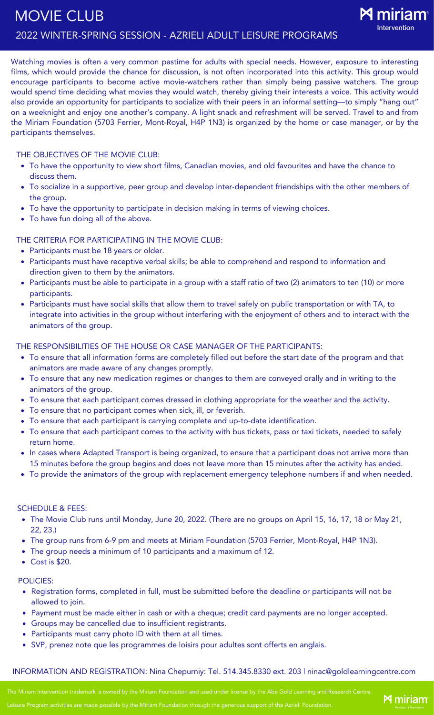Watching movies is often a very common pastime for adults with special needs. However, exposure to interesting films, which would provide the chance for discussion, is not often incorporated into this activity. This group would encourage participants to become active movie-watchers rather than simply being passive watchers. The group would spend time deciding what movies they would watch, thereby giving their interests a voice. This activity would also provide an opportunity for participants to socialize with their peers in an informal setting—to simply "hang out" on a weeknight and enjoy one another's company. A light snack and refreshment will be served. Travel to and from the Miriam Foundation (5703 Ferrier, Mont-Royal, H4P 1N3) is organized by the home or case manager, or by the participants themselves.

#### THE OBJECTIVES OF THE MOVIE CLUB:

- To have the opportunity to view short films, Canadian movies, and old favourites and have the chance to discuss them.
- To socialize in a supportive, peer group and develop inter-dependent friendships with the other members of the group.
- To have the opportunity to participate in decision making in terms of viewing choices.
- To have fun doing all of the above.

## THE CRITERIA FOR PARTICIPATING IN THE MOVIE CLUB:

- Participants must be 18 years or older.
- Participants must have receptive verbal skills; be able to comprehend and respond to information and direction given to them by the animators.
- Participants must be able to participate in a group with a staff ratio of two (2) animators to ten (10) or more participants.
- Participants must have social skills that allow them to travel safely on public transportation or with TA, to integrate into activities in the group without interfering with the enjoyment of others and to interact with the animators of the group.

THE RESPONSIBILITIES OF THE HOUSE OR CASE MANAGER OF THE PARTICIPANTS:

- To ensure that all information forms are completely filled out before the start date of the program and that animators are made aware of any changes promptly.
- To ensure that any new medication regimes or changes to them are conveyed orally and in writing to the animators of the group.
- To ensure that each participant comes dressed in clothing appropriate for the weather and the activity.
- To ensure that no participant comes when sick, ill, or feverish.
- To ensure that each participant is carrying complete and up-to-date identification.
- To ensure that each participant comes to the activity with bus tickets, pass or taxi tickets, needed to safely return home.
- In cases where Adapted Transport is being organized, to ensure that a participant does not arrive more than 15 minutes before the group begins and does not leave more than 15 minutes after the activity has ended.
- To provide the animators of the group with replacement emergency telephone numbers if and when needed.

#### SCHEDULE & FEES:

- The Movie Club runs until Monday, June 20, 2022. (There are no groups on April 15, 16, 17, 18 or May 21, 22, 23.)
- The group runs from 6-9 pm and meets at Miriam Foundation (5703 Ferrier, Mont-Royal, H4P 1N3).
- The group needs a minimum of 10 participants and a maximum of 12.
- Cost is \$20.

#### POLICIES:

- Registration forms, completed in full, must be submitted before the deadline or participants will not be allowed to join.
- Payment must be made either in cash or with a cheque; credit card payments are no longer accepted.
- Groups may be cancelled due to insufficient registrants.
- Participants must carry photo ID with them at all times.
- SVP, prenez note que les programmes de loisirs pour adultes sont offerts en anglais.

#### INFORMATION AND REGISTRATION: Nina Chepurniy: Tel. 514.345.8330 ext. 203 | ninac@goldlearningcentre.com

The Miriam Intervention trademark is owned by the Miriam Foundation and used under license by the Abe Gold Learning and Research Centre.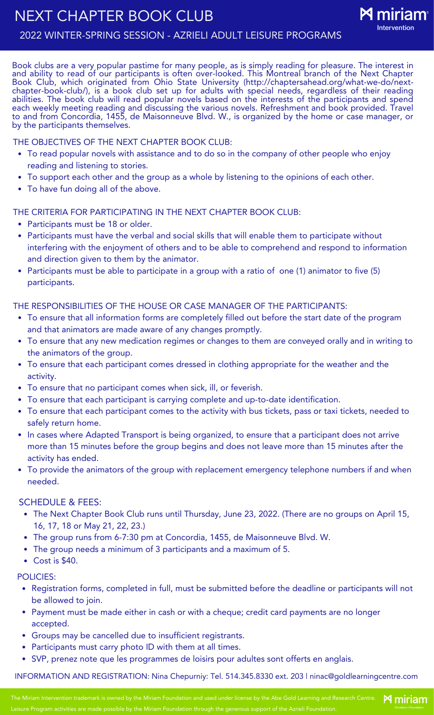

Book clubs are a very popular pastime for many people, as is simply reading for pleasure. The interest in and ability to read of our participants is often over-looked. This Montreal branch of the Next Chapter Book Club, which originated from Ohio State University (http://chaptersahead.org/what-we-do/nextchapter-book-club/), is a book club set up for adults with special needs, regardless of their reading abilities. The book club will read popular novels based on the interests of the participants and spend each weekly meeting reading and discussing the various novels. Refreshment and book provided. Travel to and from Concordia, 1455, de Maisonneuve Blvd. W., is organized by the home or case manager, or by the participants themselves.

## THE OBJECTIVES OF THE NEXT CHAPTER BOOK CLUB:

- To read popular novels with assistance and to do so in the company of other people who enjoy reading and listening to stories.
- To support each other and the group as a whole by listening to the opinions of each other.
- To have fun doing all of the above.

## THE CRITERIA FOR PARTICIPATING IN THE NEXT CHAPTER BOOK CLUB:

- Participants must be 18 or older.
- Participants must have the verbal and social skills that will enable them to participate without interfering with the enjoyment of others and to be able to comprehend and respond to information and direction given to them by the animator.
- Participants must be able to participate in a group with a ratio of one (1) animator to five (5) participants.

## THE RESPONSIBILITIES OF THE HOUSE OR CASE MANAGER OF THE PARTICIPANTS:

- To ensure that all information forms are completely filled out before the start date of the program and that animators are made aware of any changes promptly.
- To ensure that any new medication regimes or changes to them are conveyed orally and in writing to the animators of the group.
- To ensure that each participant comes dressed in clothing appropriate for the weather and the activity.
- To ensure that no participant comes when sick, ill, or feverish.
- To ensure that each participant is carrying complete and up-to-date identification.
- To ensure that each participant comes to the activity with bus tickets, pass or taxi tickets, needed to safely return home.
- In cases where Adapted Transport is being organized, to ensure that a participant does not arrive more than 15 minutes before the group begins and does not leave more than 15 minutes after the activity has ended.
- To provide the animators of the group with replacement emergency telephone numbers if and when needed.

## SCHEDULE & FEES:

- The Next Chapter Book Club runs until Thursday, June 23, 2022. (There are no groups on April 15, 16, 17, 18 or May 21, 22, 23.)
- The group runs from 6-7:30 pm at Concordia, 1455, de Maisonneuve Blvd. W.
- The group needs a minimum of 3 participants and a maximum of 5.
- Cost is \$40.

## POLICIES:

- Registration forms, completed in full, must be submitted before the deadline or participants will not be allowed to join.
- Payment must be made either in cash or with a cheque; credit card payments are no longer accepted.
- Groups may be cancelled due to insufficient registrants.
- Participants must carry photo ID with them at all times.
- SVP, prenez note que les programmes de loisirs pour adultes sont offerts en anglais.

INFORMATION AND REGISTRATION: Nina Chepurniy: Tel. 514.345.8330 ext. 203 | ninac@goldlearningcentre.com